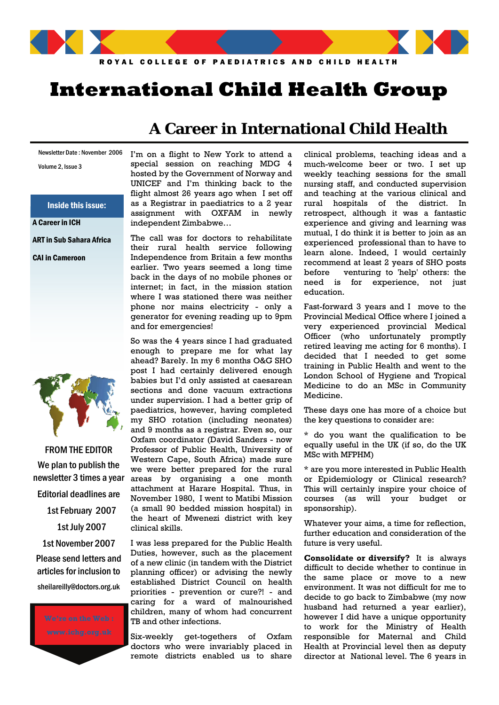

# **International Child Health Group**

### Newsletter Date : November 2006

Volume 2, Issue 3

Inside this issue:

A Career in ICH

ART in Sub Sahara Africa

CAI in Cameroon



FROM THE EDITOR We plan to publish the newsletter 3 times a year Editorial deadlines are 1st February 2007 1st July 2007 1st November 2007 Please send letters and articles for inclusion to sheilareilly@doctors.org.uk

# **A Career in International Child Health**

I'm on a flight to New York to attend a special session on reaching MDG 4 hosted by the Government of Norway and UNICEF and I'm thinking back to the flight almost 26 years ago when I set off as a Registrar in paediatrics to a 2 year assignment with OXFAM in newly independent Zimbabwe…

The call was for doctors to rehabilitate their rural health service following Independence from Britain a few months earlier. Two years seemed a long time back in the days of no mobile phones or internet; in fact, in the mission station where I was stationed there was neither phone nor mains electricity - only a generator for evening reading up to 9pm and for emergencies!

So was the 4 years since I had graduated enough to prepare me for what lay ahead? Barely. In my 6 months O&G SHO post I had certainly delivered enough babies but I'd only assisted at caesarean sections and done vacuum extractions under supervision. I had a better grip of paediatrics, however, having completed my SHO rotation (including neonates) and 9 months as a registrar. Even so, our Oxfam coordinator (David Sanders - now Professor of Public Health, University of Western Cape, South Africa) made sure we were better prepared for the rural areas by organising a one month attachment at Harare Hospital. Thus, in November 1980, I went to Matibi Mission (a small 90 bedded mission hospital) in the heart of Mwenezi district with key clinical skills.

I was less prepared for the Public Health Duties, however, such as the placement of a new clinic (in tandem with the District planning officer) or advising the newly established District Council on health priorities - prevention or cure?! - and caring for a ward of malnourished children, many of whom had concurrent TB and other infections.

Six-weekly get-togethers of Oxfam doctors who were invariably placed in remote districts enabled us to share

clinical problems, teaching ideas and a much-welcome beer or two. I set up weekly teaching sessions for the small nursing staff, and conducted supervision and teaching at the various clinical and rural hospitals of the district. In retrospect, although it was a fantastic experience and giving and learning was mutual, I do think it is better to join as an experienced professional than to have to learn alone. Indeed, I would certainly recommend at least 2 years of SHO posts before venturing to 'help' others: the need is for experience, not just education.

Fast-forward 3 years and I move to the Provincial Medical Office where I joined a very experienced provincial Medical Officer (who unfortunately promptly retired leaving me acting for 6 months). I decided that I needed to get some training in Public Health and went to the London School of Hygiene and Tropical Medicine to do an MSc in Community Medicine.

These days one has more of a choice but the key questions to consider are:

\* do you want the qualification to be equally useful in the UK (if so, do the UK MSc with MFPHM)

\* are you more interested in Public Health or Epidemiology or Clinical research? This will certainly inspire your choice of courses (as will your budget or sponsorship).

Whatever your aims, a time for reflection, further education and consideration of the future is very useful.

**Consolidate or diversify?** It is always difficult to decide whether to continue in the same place or move to a new environment. It was not difficult for me to decide to go back to Zimbabwe (my now husband had returned a year earlier), however I did have a unique opportunity to work for the Ministry of Health responsible for Maternal and Child Health at Provincial level then as deputy director at National level. The 6 years in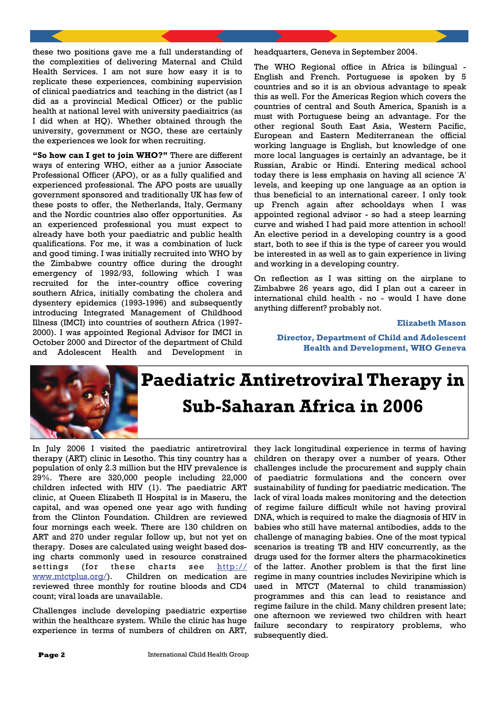these two positions gave me a full understanding of the complexities of delivering Maternal and Child Health Services. I am not sure how easy it is to replicate these experiences, combining supervision of clinical paediatrics and teaching in the district (as I did as a provincial Medical Officer) or the public health at national level with university paediaitrics (as I did when at HQ). Whether obtained through the university, government or NGO, these are certainly the experiences we look for when recruiting.

**"So how can I get to join WHO?"** There are different ways of entering WHO, either as a junior Associate Professional Officer (APO), or as a fully qualified and experienced professional. The APO posts are usually government sponsored and traditionally UK has few of these posts to offer, the Netherlands, Italy, Germany and the Nordic countries also offer opportunities. As an experienced professional you must expect to already have both your paediatric and public health qualifications. For me, it was a combination of luck and good timing. I was initially recruited into WHO by the Zimbabwe country office during the drought emergency of 1992/93, following which I was recruited for the inter-country office covering southern Africa, initially combating the cholera and dysentery epidemics (1993-1996) and subsequently introducing Integrated Management of Childhood Illness (IMCI) into countries of southern Africa (1997- 2000). I was appointed Regional Advisor for IMCI in October 2000 and Director of the department of Child and Adolescent Health and Development in headquarters, Geneva in September 2004.

The WHO Regional office in Africa is bilingual - English and French. Portuguese is spoken by 5 countries and so it is an obvious advantage to speak this as well. For the Americas Region which covers the countries of central and South America, Spanish is a must with Portuguese being an advantage. For the other regional South East Asia, Western Pacific, European and Eastern Mediterranean the official working language is English, but knowledge of one more local languages is certainly an advantage, be it Russian, Arabic or Hindi. Entering medical school today there is less emphasis on having all science 'A' levels, and keeping up one language as an option is thus beneficial to an international career. I only took up French again after schooldays when I was appointed regional advisor - so had a steep learning curve and wished I had paid more attention in school! An elective period in a developing country is a good start, both to see if this is the type of career you would be interested in as well as to gain experience in living and working in a developing country.

On reflection as I was sitting on the airplane to Zimbabwe 26 years ago, did I plan out a career in international child health - no - would I have done anything different? probably not.

#### **Elizabeth Mason**

**Director, Department of Child and Adolescent Health and Development, WHO Geneva** 



# **Paediatric Antiretroviral Therapy in Sub-Saharan Africa in 2006**

In July 2006 I visited the paediatric antiretroviral therapy (ART) clinic in Lesotho. This tiny country has a population of only 2.3 million but the HIV prevalence is 29%. There are 320,000 people including 22,000 children infected with HIV (1). The paediatric ART clinic, at Queen Elizabeth II Hospital is in Maseru, the capital, and was opened one year ago with funding from the Clinton Foundation. Children are reviewed four mornings each week. There are 130 children on ART and 270 under regular follow up, but not yet on therapy. Doses are calculated using weight based dosing charts commonly used in resource constrained settings (for these charts see http:// www.mtctplus.org/). Children on medication are reviewed three monthly for routine bloods and CD4 count; viral loads are unavailable.

Challenges include developing paediatric expertise within the healthcare system. While the clinic has huge experience in terms of numbers of children on ART,

they lack longitudinal experience in terms of having children on therapy over a number of years. Other challenges include the procurement and supply chain of paediatric formulations and the concern over sustainability of funding for paediatric medication. The lack of viral loads makes monitoring and the detection of regime failure difficult while not having proviral DNA, which is required to make the diagnosis of HIV in babies who still have maternal antibodies, adds to the challenge of managing babies. One of the most typical scenarios is treating TB and HIV concurrently, as the drugs used for the former alters the pharmacokinetics of the latter. Another problem is that the first line regime in many countries includes Neviripine which is used in MTCT (Maternal to child transmission) programmes and this can lead to resistance and regime failure in the child. Many children present late; one afternoon we reviewed two children with heart failure secondary to respiratory problems, who subsequently died.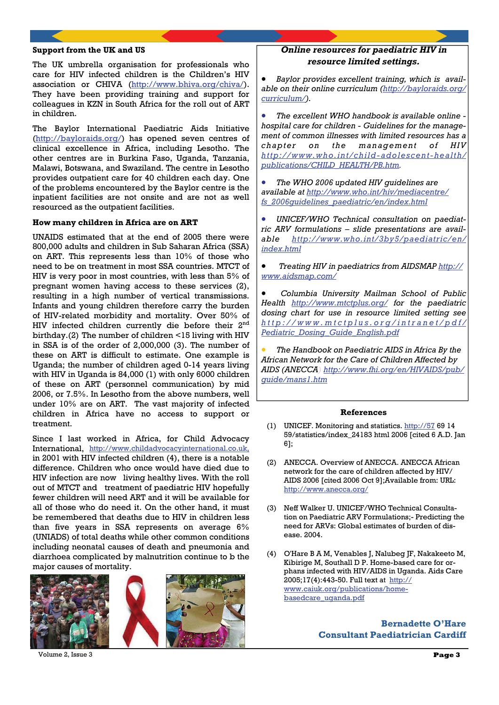### **Support from the UK and US**

The UK umbrella organisation for professionals who care for HIV infected children is the Children's HIV association or CHIVA (http://www.bhiva.org/chiva/). They have been providing training and support for colleagues in KZN in South Africa for the roll out of ART in children.

The Baylor International Paediatric Aids Initiative (http://bayloraids.org/) has opened seven centres of clinical excellence in Africa, including Lesotho. The other centres are in Burkina Faso, Uganda, Tanzania, Malawi, Botswana, and Swaziland. The centre in Lesotho provides outpatient care for 40 children each day. One of the problems encountered by the Baylor centre is the inpatient facilities are not onsite and are not as well resourced as the outpatient facilities.

#### **How many children in Africa are on ART**

UNAIDS estimated that at the end of 2005 there were 800,000 adults and children in Sub Saharan Africa (SSA) on ART. This represents less than 10% of those who need to be on treatment in most SSA countries. MTCT of HIV is very poor in most countries, with less than 5% of pregnant women having access to these services (2), resulting in a high number of vertical transmissions. Infants and young children therefore carry the burden of HIV-related morbidity and mortality. Over 50% of HIV infected children currently die before their 2nd birthday.(2) The number of children <15 living with HIV in SSA is of the order of 2,000,000 (3). The number of these on ART is difficult to estimate. One example is Uganda; the number of children aged 0-14 years living with HIV in Uganda is 84,000 (1) with only 6000 children of these on ART (personnel communication) by mid 2006, or 7.5%. In Lesotho from the above numbers, well under 10% are on ART. The vast majority of infected children in Africa have no access to support or treatment.

Since I last worked in Africa, for Child Advocacy International, http://www.childadvocacyinternational.co.uk, in 2001 with HIV infected children (4), there is a notable difference. Children who once would have died due to HIV infection are now living healthy lives. With the roll out of MTCT and treatment of paediatric HIV hopefully fewer children will need ART and it will be available for all of those who do need it. On the other hand, it must be remembered that deaths due to HIV in children less than five years in SSA represents on average 6% (UNIADS) of total deaths while other common conditions including neonatal causes of death and pneumonia and diarrhoea complicated by malnutrition continue to b the major causes of mortality.



## *Online resources for paediatric HIV in resource limited settings.*

• *Baylor provides excellent training, which is available on their online curriculum (http://bayloraids.org/ curriculum/).*

• *The excellent WHO handbook is available online hospital care for children - Guidelines for the management of common illnesses with limited resources has a chapter on the management of HIV http://www.who.int/child-adolescent-health/ publications/CHILD\_HEALTH/PB.htm.*

• *The WHO 2006 updated HIV guidelines are available at http://www.who.int/hiv/mediacentre/ fs\_2006guidelines\_paediatric/en/index.html*

• *UNICEF/WHO Technical consultation on paediatric ARV formulations – slide presentations are available http://www.who.int/3by5/paediatric/en/ index.html*

• *Treating HIV in paediatrics from AIDSMAP http:// www.aidsmap.com/*

• *Columbia University Mailman School of Public Health http://www.mtctplus.org/ for the paediatric dosing chart for use in resource limited setting see http://www.mtctplus.org/intranet/pdf/ Pediatric\_Dosing\_Guide\_English.pdf*

• *The Handbook on Paediatric AIDS in Africa By the African Network for the Care of Children Affected by AIDS (ANECCA) http://www.fhi.org/en/HIVAIDS/pub/ guide/mans1.htm*

#### **References**

- (1) UNICEF. Monitoring and statistics. http://57 69 14 59/statistics/index\_24183 html 2006 [cited 6 A.D. Jan 6];
- (2) ANECCA. Overview of ANECCA. ANECCA African network for the care of children affected by HIV/ AIDS 2006 [cited 2006 Oct 9];Available from: URL: http://www.anecca.org/
- (3) Neff Walker U. UNICEF/WHO Technical Consultation on Paediatric ARV Formulations;- Predicting the need for ARVs: Global estimates of burden of disease. 2004.
- (4) O'Hare B A M, Venables J, Nalubeg JF, Nakakeeto M, Kibirige M, Southall D P. Home-based care for orphans infected with HIV/AIDS in Uganda. Aids Care 2005;17(4):443-50. Full text at http:// www.caiuk.org/publications/homebasedcare\_uganda.pdf

### **Bernadette O'Hare Consultant Paediatrician Cardiff**

Volume 2, Issue 3 **Page 3**